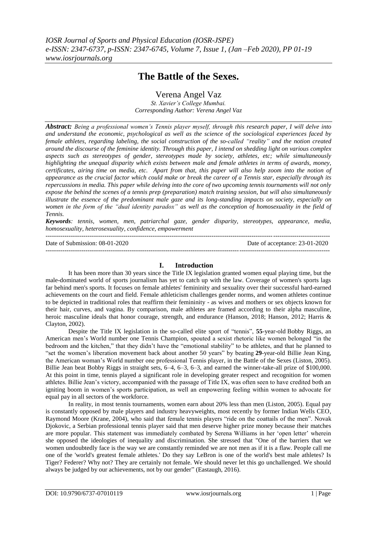# **The Battle of the Sexes.**

Verena Angel Vaz

*St. Xavier's College Mumbai. Corresponding Author: Verena Angel Vaz*

*Abstract: Being a professional women's Tennis player myself, through this research paper, I will delve into and understand the economic, psychological as well as the science of the sociological experiences faced by female athletes, regarding labeling, the social construction of the so-called "reality" and the notion created around the discourse of the feminine identity. Through this paper, I intend on shedding light on various complex aspects such as stereotypes of gender, stereotypes made by society, athletes, etc; while simultaneously highlighting the unequal disparity which exists between male and female athletes in terms of awards, money, certificates, airing time on media, etc. Apart from that, this paper will also help zoom into the notion of appearance as the crucial factor which could make or break the career of a Tennis star, especially through its repercussions in media. This paper while delving into the core of two upcoming tennis tournaments will not only expose the behind the scenes of a tennis prep (preparation) match training session, but will also simultaneously illustrate the essence of the predominant male gaze and its long-standing impacts on society, especially on women in the form of the "dual identity paradox" as well as the conception of homosexuality in the field of Tennis.*

*Keywords: tennis, women, men, patriarchal gaze, gender disparity, stereotypes, appearance, media, homosexuality, heterosexuality, confidence, empowerment*

--------------------------------------------------------------------------------------------------------------------------------------- Date of Submission: 08-01-2020 Date of acceptance: 23-01-2020 ---------------------------------------------------------------------------------------------------------------------------------------

### **I. Introduction**

It has been more than 30 years since the Title IX legislation granted women equal playing time, but the male-dominated world of sports journalism has yet to catch up with the law. Coverage of women's sports lags far behind men's sports. It focuses on female athletes' femininity and sexuality over their successful hard-earned achievements on the court and field. Female athleticism challenges gender norms, and women athletes continue to be depicted in traditional roles that reaffirm their femininity - as wives and mothers or sex objects known for their hair, curves, and vagina. By comparison, male athletes are framed according to their alpha masculine, heroic masculine ideals that honor courage, strength, and endurance (Hanson, 2018; Hanson, 2012; Harris & Clayton, 2002).

Despite the Title IX legislation in the so-called elite sport of "tennis", 55-year-old Bobby Riggs, an American men's World number one Tennis Champion, spouted a sexist rhetoric like women belonged "in the bedroom and the kitchen," that they didn't have the "emotional stability" to be athletes, and that he planned to ―set the women's liberation movement back about another 50 years‖ by beating **29**-year-old Billie Jean King, the American woman's World number one professional Tennis player, in the Battle of the Sexes (Liston, 2005). Billie Jean beat Bobby Riggs in straight sets, 6–4, 6–3, 6–3, and earned the winner-take-all prize of \$100,000. At this point in time, tennis played a significant role in developing greater respect and recognition for women athletes. Billie Jean's victory, accompanied with the passage of Title IX, was often seen to have credited both an igniting boom in women's sports participation, as well an empowering feeling within women to advocate for equal pay in all sectors of the workforce.

In reality, in most tennis tournaments, women earn about 20% less than men (Liston, 2005). Equal pay is constantly opposed by male players and industry heavyweights, most recently by former Indian Wells CEO, Raymond Moore (Krane, 2004), who said that female tennis players "ride on the coattails of the men". Novak Djokovic, a Serbian professional tennis player said that men deserve higher prize money because their matches are more popular. This statement was immediately combated by Serena Williams in her ‗open letter' wherein she opposed the ideologies of inequality and discrimination. She stressed that "One of the barriers that we women undoubtedly face is the way we are constantly reminded we are not men as if it is a flaw. People call me one of the 'world's greatest female athletes.' Do they say LeBron is one of the world's best male athletes? Is Tiger? Federer? Why not? They are certainly not female. We should never let this go unchallenged. We should always be judged by our achievements, not by our gender" (Eastaugh, 2016).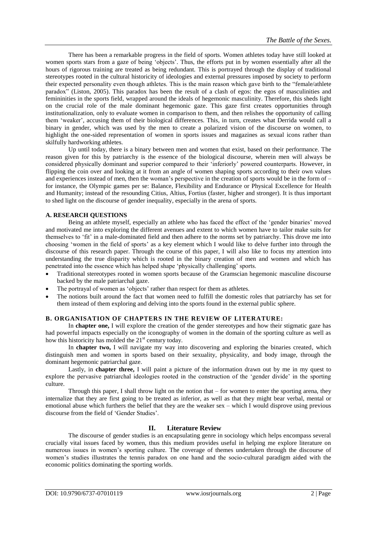There has been a remarkable progress in the field of sports. Women athletes today have still looked at women sports stars from a gaze of being 'objects'. Thus, the efforts put in by women essentially after all the hours of rigorous training are treated as being redundant. This is portrayed through the display of traditional stereotypes rooted in the cultural historicity of ideologies and external pressures imposed by society to perform their expected personality even though athletes. This is the main reason which gave birth to the "female/athlete" paradox‖ (Liston, 2005). This paradox has been the result of a clash of egos: the egos of masculinities and femininities in the sports field, wrapped around the ideals of hegemonic masculinity. Therefore, this sheds light on the crucial role of the male dominant hegemonic gaze. This gaze first creates opportunities through institutionalization, only to evaluate women in comparison to them, and then relishes the opportunity of calling them 'weaker', accusing them of their biological differences. This, in turn, creates what Derrida would call a binary in gender, which was used by the men to create a polarized vision of the discourse on women, to highlight the one-sided representation of women in sports issues and magazines as sexual icons rather than skilfully hardworking athletes.

Up until today, there is a binary between men and women that exist, based on their performance. The reason given for this by patriarchy is the essence of the biological discourse, wherein men will always be considered physically dominant and superior compared to their ‗inferiorly' powered counterparts. However, in flipping the coin over and looking at it from an angle of women shaping sports according to their own values and experiences instead of men, then the woman's perspective in the creation of sports would be in the form of – for instance, the Olympic games per se: Balance, Flexibility and Endurance or Physical Excellence for Health and Humanity; instead of the resounding Citius, Altius, Fortius (faster, higher and stronger). It is thus important to shed light on the discourse of gender inequality, especially in the arena of sports.

### **A. RESEARCH QUESTIONS**

Being an athlete myself, especially an athlete who has faced the effect of the 'gender binaries' moved and motivated me into exploring the different avenues and extent to which women have to tailor make suits for themselves to ‗fit' in a male-dominated field and then adhere to the norms set by patriarchy. This drove me into choosing ‗women in the field of sports' as a key element which I would like to delve further into through the discourse of this research paper. Through the course of this paper, I will also like to focus my attention into understanding the true disparity which is rooted in the binary creation of men and women and which has penetrated into the essence which has helped shape 'physically challenging' sports.

- Traditional stereotypes rooted in women sports because of the Gramscian hegemonic masculine discourse backed by the male patriarchal gaze.
- The portrayal of women as 'objects' rather than respect for them as athletes.
- The notions built around the fact that women need to fulfill the domestic roles that patriarchy has set for them instead of them exploring and delving into the sports found in the external public sphere.

#### **B. ORGANISATION OF CHAPTERS IN THE REVIEW OF LITERATURE:**

In **chapter one,** I will explore the creation of the gender stereotypes and how their stigmatic gaze has had powerful impacts especially on the iconography of women in the domain of the sporting culture as well as how this historicity has molded the  $21<sup>st</sup>$  century today.

In **chapter two,** I will navigate my way into discovering and exploring the binaries created, which distinguish men and women in sports based on their sexuality, physicality, and body image, through the dominant hegemonic patriarchal gaze.

Lastly, in **chapter three,** I will paint a picture of the information drawn out by me in my quest to explore the pervasive patriarchal ideologies rooted in the construction of the 'gender divide' in the sporting culture.

Through this paper, I shall throw light on the notion that – for women to enter the sporting arena, they internalize that they are first going to be treated as inferior, as well as that they might bear verbal, mental or emotional abuse which furthers the belief that they are the weaker sex – which I would disprove using previous discourse from the field of 'Gender Studies'.

### **II. Literature Review**

The discourse of gender studies is an encapsulating genre in sociology which helps encompass several crucially vital issues faced by women, thus this medium provides useful in helping me explore literature on numerous issues in women's sporting culture. The coverage of themes undertaken through the discourse of women's studies illustrates the tennis paradox on one hand and the socio-cultural paradigm aided with the economic politics dominating the sporting worlds.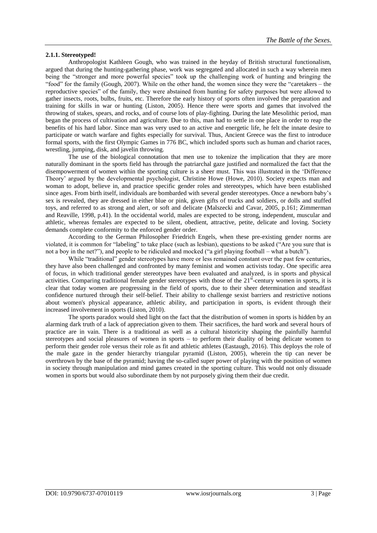### **2.1.1. Stereotyped!**

Anthropologist Kathleen Gough, who was trained in the heyday of British structural functionalism, argued that during the hunting-gathering phase, work was segregated and allocated in such a way wherein men being the "stronger and more powerful species" took up the challenging work of hunting and bringing the "food" for the family (Gough, 2007). While on the other hand, the women since they were the "caretakers – the reproductive species" of the family, they were abstained from hunting for safety purposes but were allowed to gather insects, roots, bulbs, fruits, etc. Therefore the early history of sports often involved the preparation and training for skills in war or hunting (Liston, 2005). Hence there were sports and games that involved the throwing of stakes, spears, and rocks, and of course lots of play-fighting. During the late Mesolithic period, man began the process of cultivation and agriculture. Due to this, man had to settle in one place in order to reap the benefits of his hard labor. Since man was very used to an active and energetic life, he felt the innate desire to participate or watch warfare and fights especially for survival. Thus, Ancient Greece was the first to introduce formal sports, with the first [Olympic Games](https://www.thoughtco.com/history-of-the-olympics-1779619) in 776 BC, which included sports such as human and chariot races, wrestling, jumping, disk, and javelin throwing.

The use of the biological connotation that men use to tokenize the implication that they are more naturally dominant in the sports field has through the patriarchal gaze justified and normalized the fact that the disempowerment of women within the sporting culture is a sheer must. This was illustrated in the 'Difference Theory' argued by the developmental psychologist, Christine Howe (Howe, 2010). Society expects man and woman to adopt, believe in, and practice specific gender roles and stereotypes, which have been established since ages. From birth itself, individuals are bombarded with several gender stereotypes. Once a newborn baby's sex is revealed, they are dressed in either blue or pink, given gifts of trucks and soldiers, or dolls and stuffed toys, and referred to as strong and alert, or soft and delicate (Malszecki and Cavar, 2005, p.161; Zimmerman and Reaville, 1998, p.41). In the occidental world, males are expected to be strong, independent, muscular and athletic, whereas females are expected to be silent, obedient, attractive, petite, delicate and loving. Society demands complete conformity to the enforced gender order.

According to the German Philosopher Friedrich Engels, when these pre-existing gender norms are violated, it is common for "labeling" to take place (such as lesbian), questions to be asked ("Are you sure that is not a boy in the net?"), and people to be ridiculed and mocked ("a girl playing football – what a butch").

While "traditional" gender stereotypes have more or less remained constant over the past few centuries, they have also been challenged and confronted by many feminist and women activists today. One specific area of focus, in which traditional gender stereotypes have been evaluated and analyzed, is in sports and physical activities. Comparing traditional female gender stereotypes with those of the 21<sup>st</sup>-century women in sports, it is clear that today women are progressing in the field of sports, due to their sheer determination and steadfast confidence nurtured through their self-belief. Their ability to challenge sexist barriers and restrictive notions about women's physical appearance, athletic ability, and participation in sports, is evident through their increased involvement in sports (Liston, 2010).

The sports paradox would shed light on the fact that the distribution of women in sports is hidden by an alarming dark truth of a lack of appreciation given to them. Their sacrifices, the hard work and several hours of practice are in vain. There is a traditional as well as a cultural historicity shaping the painfully harmful stereotypes and social pleasures of women in sports – to perform their duality of being delicate women to perform their gender role versus their role as fit and athletic athletes (Eastaugh, 2016). This deploys the role of the male gaze in the gender hierarchy triangular pyramid (Liston, 2005), wherein the tip can never be overthrown by the base of the pyramid; having the so-called super power of playing with the position of women in society through manipulation and mind games created in the sporting culture. This would not only dissuade women in sports but would also subordinate them by not purposely giving them their due credit.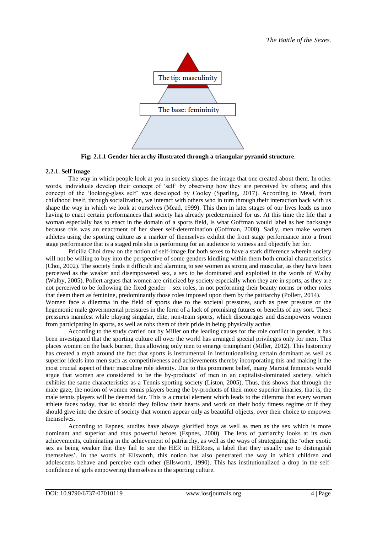

**Fig: 2.1.1 Gender hierarchy illustrated through a triangular pyramid structure**.

# **2.2.1. Self Image**

The way in which people look at you in society shapes the image that one created about them. In other words, individuals develop their concept of 'self' by observing how they are perceived by others; and this concept of the 'looking-glass self' was developed by Cooley (Sparling, 2017). According to Mead, from childhood itself, through socialization, we interact with others who in turn through their interaction back with us shape the way in which we look at ourselves (Mead, 1999). This then in later stages of our lives leads us into having to enact certain performances that society has already predetermined for us. At this time the life that a woman especially has to enact in the domain of a sports field, is what Goffman would label as her backstage because this was an enactment of her sheer self-determination (Goffman, 2000). Sadly, men make women athletes using the sporting culture as a marker of themselves exhibit the front stage performance into a front stage performance that is a staged role she is performing for an audience to witness and objectify her for.

Pricilla Choi drew on the notion of self-image for both sexes to have a stark difference wherein society will not be willing to buy into the perspective of some genders kindling within them both crucial characteristics (Choi, 2002). The society finds it difficult and alarming to see women as strong and muscular, as they have been perceived as the weaker and disempowered sex, a sex to be dominated and exploited in the words of Walby (Walby, 2005). Pollert argues that women are criticized by society especially when they are in sports, as they are not perceived to be following the fixed gender – sex roles, in not performing their beauty norms or other roles that deem them as feminine, predominantly those roles imposed upon them by the patriarchy (Pollert, 2014). Women face a dilemma in the field of sports due to the societal pressures, such as peer pressure or the hegemonic male governmental pressures in the form of a lack of promising futures or benefits of any sort. These pressures manifest while playing singular, elite, non-team sports, which discourages and disempowers women from participating in sports, as well as robs them of their pride in being physically active.

According to the study carried out by Miller on the leading causes for the role conflict in gender, it has been investigated that the sporting culture all over the world has arranged special privileges only for men. This places women on the back burner, thus allowing only men to emerge triumphant (Miller, 2012). This historicity has created a myth around the fact that sports is instrumental in institutionalising certain dominant as well as superior ideals into men such as competitiveness and achievements thereby incorporating this and making it the most crucial aspect of their masculine role identity. Due to this prominent belief, many Marxist feminists would argue that women are considered to be the by-products' of men in an capitalist-dominated society, which exhibits the same characteristics as a Tennis sporting society (Liston, 2005). Thus, this shows that through the male gaze, the notion of women tennis players being the by-products of their more superior binaries, that is, the male tennis players will be deemed fair. This is a crucial element which leads to the dilemma that every woman athlete faces today, that is: should they follow their hearts and work on their body fitness regime or if they should give into the desire of society that women appear only as beautiful objects, over their choice to empower themselves.

According to Espnes, studies have always glorified boys as well as men as the sex which is more dominant and superior and thus powerful heroes (Espnes, 2000). The lens of patriarchy looks at its own achievements, culminating in the achievement of patriarchy, as well as the ways of strategizing the 'other exotic sex as being weaker that they fail to see the HER in HERoes, a label that they usually use to distinguish themselves'. In the words of Ellsworth, this notion has also penetrated the way in which children and adolescents behave and perceive each other (Ellsworth, 1990). This has institutionalized a drop in the selfconfidence of girls empowering themselves in the sporting culture.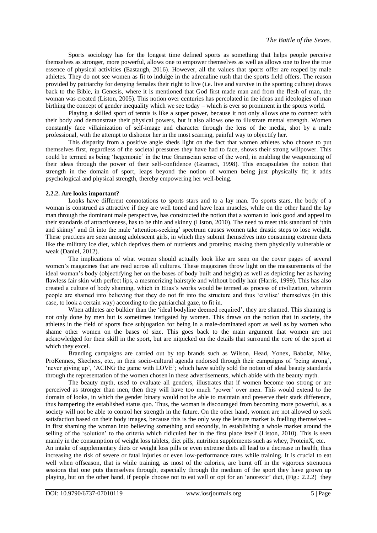Sports sociology has for the longest time defined sports as something that helps people perceive themselves as stronger, more powerful, allows one to empower themselves as well as allows one to live the true essence of physical activities (Eastaugh, 2016). However, all the values that sports offer are reaped by male athletes. They do not see women as fit to indulge in the adrenaline rush that the sports field offers. The reason provided by patriarchy for denying females their right to live (i.e. live and survive in the sporting culture) draws back to the Bible, in Genesis, where it is mentioned that God first made man and from the flesh of man, the woman was created (Liston, 2005). This notion over centuries has percolated in the ideas and ideologies of man birthing the concept of gender inequality which we see today – which is ever so prominent in the sports world.

Playing a skilled sport of tennis is like a super power, because it not only allows one to connect with their body and demonstrate their physical powers, but it also allows one to illustrate mental strength. Women constantly face villainization of self-image and character through the lens of the media, shot by a male professional, with the attempt to dishonor her in the most scarring, painful way to objectify her.

This disparity from a positive angle sheds light on the fact that women athletes who choose to put themselves first, regardless of the societal pressures they have had to face, shows their strong willpower. This could be termed as being 'hegemonic' in the true Gramscian sense of the word, in enabling the weaponizing of their ideas through the power of their self-confidence (Gramsci, 1998). This encapsulates the notion that strength in the domain of sport, leaps beyond the notion of women being just physically fit; it adds psychological and physical strength, thereby empowering her well-being.

### **2.2.2. Are looks important?**

Looks have different connotations to sports stars and to a lay man. To sports stars, the body of a woman is construed as attractive if they are well toned and have lean muscles, while on the other hand the lay man through the dominant male perspective, has constructed the notion that a woman to look good and appeal to their standards of attractiveness, has to be thin and skinny (Liston, 2010). The need to meet this standard of 'thin and skinny' and fit into the male 'attention-seeking' spectrum causes women take drastic steps to lose weight. These practices are seen among adolescent girls, in which they submit themselves into consuming extreme diets like the military ice diet, which deprives them of nutrients and proteins; making them physically vulnerable or weak (Daniel, 2012).

The implications of what women should actually look like are seen on the cover pages of several women's magazines that are read across all cultures. These magazines throw light on the measurements of the ideal woman's body (objectifying her on the bases of body built and height) as well as depicting her as having flawless fair skin with perfect lips, a mesmerizing hairstyle and without bodily hair (Harris, 1999). This has also created a culture of body shaming, which in Elias's works would be termed as process of civilization, wherein people are shamed into believing that they do not fit into the structure and thus 'civilise' themselves (in this case, to look a certain way) according to the patriarchal gaze, to fit in.

When athletes are bulkier than the 'ideal bodyline deemed required', they are shamed. This shaming is not only done by men but is sometimes instigated by women. This draws on the notion that in society, the athletes in the field of sports face subjugation for being in a male-dominated sport as well as by women who shame other women on the bases of size. This goes back to the main argument that women are not acknowledged for their skill in the sport, but are nitpicked on the details that surround the core of the sport at which they excel.

Branding campaigns are carried out by top brands such as Wilson, Head, Yonex, Babolat, Nike, ProKennex, Skechers, etc., in their socio-cultural agenda endorsed through their campaigns of 'being strong', ‗never giving up', ‗ACING the game with LOVE'; which have subtly sold the notion of ideal beauty standards through the representation of the women chosen in these advertisements, which abide with the beauty myth.

The beauty myth, used to evaluate all genders, illustrates that if women become too strong or are perceived as stronger than men, then they will have too much 'power' over men. This would extend to the domain of looks, in which the gender binary would not be able to maintain and preserve their stark difference, thus hampering the established status quo. Thus, the woman is discouraged from becoming more powerful, as a society will not be able to control her strength in the future. On the other hand, women are not allowed to seek satisfaction based on their body images, because this is the only way the leisure market is fuelling themselves – in first shaming the woman into believing something and secondly, in establishing a whole market around the selling of the 'solution' to the criteria which ridiculed her in the first place itself (Liston, 2010). This is seen mainly in the consumption of weight loss tablets, diet pills, nutrition supplements such as whey, ProteinX, etc.

An intake of supplementary diets or weight loss pills or even extreme diets all lead to a decrease in health, thus increasing the risk of severe or fatal injuries or even low-performance rates while training. It is crucial to eat well when offseason, that is while training, as most of the calories, are burnt off in the vigorous strenuous sessions that one puts themselves through, especially through the medium of the sport they have grown up playing, but on the other hand, if people choose not to eat well or opt for an 'anorexic' diet, (Fig.: 2.2.2) they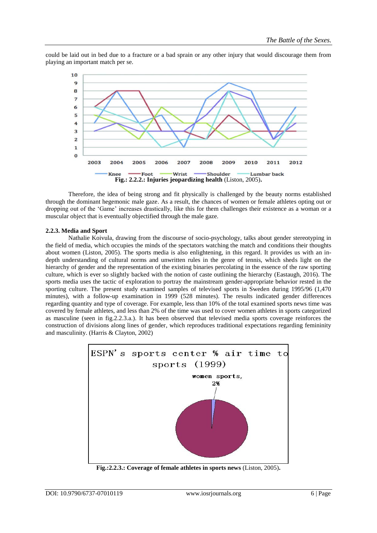could be laid out in bed due to a fracture or a bad sprain or any other injury that would discourage them from playing an important match per se.



Therefore, the idea of being strong and fit physically is challenged by the beauty norms established through the dominant hegemonic male gaze. As a result, the chances of women or female athletes opting out or dropping out of the 'Game' increases drastically, like this for them challenges their existence as a woman or a muscular object that is eventually objectified through the male gaze.

#### **2.2.3. Media and Sport**

Nathalie Koivula, drawing from the discourse of socio-psychology, talks about gender stereotyping in the field of media, which occupies the minds of the spectators watching the match and conditions their thoughts about women (Liston, 2005). The sports media is also enlightening, in this regard. It provides us with an indepth understanding of cultural norms and unwritten rules in the genre of tennis, which sheds light on the hierarchy of gender and the representation of the existing binaries percolating in the essence of the raw sporting culture, which is ever so slightly backed with the notion of caste outlining the hierarchy (Eastaugh, 2016). The sports media uses the tactic of exploration to portray the mainstream gender-appropriate behavior rested in the sporting culture. The present study examined samples of televised sports in Sweden during 1995/96 (1,470 minutes), with a follow-up examination in 1999 (528 minutes). The results indicated gender differences regarding quantity and type of coverage. For example, less than 10% of the total examined sports news time was covered by female athletes, and less than 2% of the time was used to cover women athletes in sports categorized as masculine (seen in fig.2.2.3.a.). It has been observed that televised media sports coverage reinforces the construction of divisions along lines of gender, which reproduces traditional expectations regarding femininity and masculinity. (Harris & Clayton, 2002)



**Fig.:2.2.3.: Coverage of female athletes in sports news** (Liston, 2005)**.**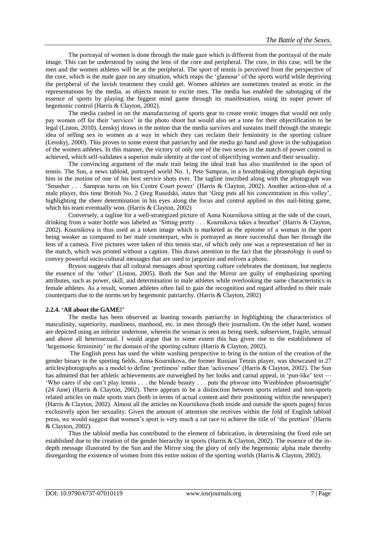The portrayal of women is done through the male gaze which is different from the portrayal of the male image. This can be understood by using the lens of the core and peripheral. The core, in this case, will be the men and the women athletes will be at the peripheral. The sport of tennis is perceived from the perspective of the core, which is the male gaze on any situation, which reaps the 'glamour' of the sports world while depriving the peripheral of the lavish treatment they could get. Women athletes are sometimes treated as erotic in the representations by the media, as objects meant to excite men. The media has enabled the sabotaging of the essence of sports by playing the biggest mind game through its manifestation, using its super power of hegemonic control (Harris & Clayton, 2002).

The media cashed in on the manufacturing of sports gear to create erotic images that would not only pay women off for their 'services' in the photo shoot but would also set a tone for their objectification to be legal (Liston, 2010). Lenskyj draws in the notion that the media survives and sustains itself through the strategic idea of selling sex to women as a way in which they can reclaim their femininity in the sporting culture (Lenskyj, 2000). This proves to some extent that patriarchy and the media go hand and glove in the subjugation of the women athletes. In this manner, the victory of only one of the two sexes in the match of power control is achieved, which self-validates a superior male identity at the cost of objectifying women and their sexuality.

The convincing argument of the male trait being the ideal trait has also manifested in the sport of tennis. The Sun, a news tabloid, portrayed world No. 1, Pete Sampras, in a breathtaking photograph depicting him in the motion of one of his best service shots ever. The tagline inscribed along with the photograph was ‗Smasher . . . Sampras turns on his Centre Court power' (Harris & Clayton, 2002). Another action-shot of a male player, this time British No. 2 Greg Rusedski, states that ‗Greg puts all his concentration in this volley', highlighting the sheer determination in his eyes along the focus and control applied in this nail-biting game, which his team eventually won. (Harris & Clayton, 2002)

Conversely, a tagline for a well-strategized picture of Anna Kournikova sitting at the side of the court, drinking from a water bottle was labeled as 'Sitting pretty . . . Kournikova takes a breather' (Harris & Clayton, 2002). Kournikova is thus used as a token image which is marketed as the epitome of a woman in the sport being weaker as compared to her male counterpart, who is portrayed as more successful than her through the lens of a camera. Five pictures were taken of this tennis star, of which only one was a representation of her in the match, which was printed without a caption. This draws attention to the fact that the phraseology is used to convey powerful socio-cultural messages that are used to jargonize and enliven a photo.

Bryson suggests that all cultural messages about sporting culture celebrates the dominant, but neglects the essence of the 'other' (Liston, 2005). Both the Sun and the Mirror are guilty of emphasizing sporting attributes, such as power, skill, and determination in male athletes while overlooking the same characteristics in female athletes. As a result, women athletes often fail to gain the recognition and regard afforded to their male counterparts due to the norms set by hegemonic patriarchy. (Harris & Clayton, 2002)

#### **2.2.4. 'All about the GAME!'**

The media has been observed as leaning towards patriarchy in highlighting the characteristics of masculinity, superiority, manliness, manhood, etc. in men through their journalism. On the other hand, women are depicted using an inferior undertone, wherein the woman is seen as being meek, subservient, fragile, sensual and above all heterosexual. I would argue that to some extent this has given rise to the establishment of 'hegemonic femininity' in the domain of the sporting culture (Harris  $&$  Clayton, 2002).

The English press has used the white washing perspective to bring in the notion of the creation of the gender binary in the sporting fields. Anna Kournikova, the former Russian Tennis player, was showcased in 27 articles/photographs as a model to define 'prettiness' rather than 'activeness' (Harris & Clayton, 2002). The Sun has admitted that her athletic achievements are outweighed by her looks and carnal appeal, in 'pun-like' text -‗Who cares if she can't play tennis . . . the blonde beauty . . . puts the phwoar into Wimbledon phwoartnight' (24 June) (Harris & Clayton, 2002). There appears to be a distinction between sports related and non-sports related articles on male sports stars (both in terms of actual content and their positioning within the newspaper) (Harris & Clayton, 2002). Almost all the articles on Kournikova (both inside and outside the sports pages) focus exclusively upon her sexuality. Given the amount of attention she receives within the fold of English tabloid press, we would suggest that women's sport is very much a rat race to achieve the title of 'the prettiest' (Harris & Clayton, 2002).

Thus the tabloid media has contributed to the element of fabrication, in determining the fixed role set established due to the creation of the gender hierarchy in sports (Harris & Clayton, 2002). The essence of the indepth message illustrated by the Sun and the Mirror sing the glory of only the hegemonic alpha male thereby disregarding the existence of women from this entire notion of the sporting worlds (Harris & Clayton, 2002).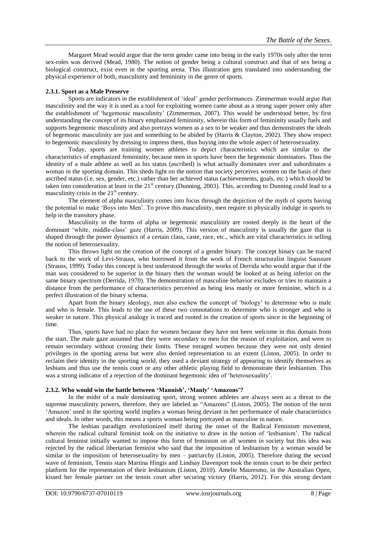Margaret Mead would argue that the term gender came into being in the early 1970s only after the term sex-roles was derived (Mead, 1980). The notion of gender being a cultural construct and that of sex being a biological construct, exist even in the sporting arena. This illustration gets translated into understanding the physical experience of both, masculinity and femininity in the genre of sports.

### **2.3.1. Sport as a Male Preserve**

Sports are indicators in the establishment of 'ideal' gender performances. Zimmerman would argue that masculinity and the way it is used as a tool for exploiting women came about as a strong super power only after the establishment of 'hegemonic masculinity' (Zimmerman, 2007). This would be understood better, by first understanding the concept of its binary emphasized femininity, wherein this form of femininity usually fuels and supports hegemonic masculinity and also portrays women as a sex to be weaker and thus demonstrates the ideals of hegemonic masculinity are just and something to be abided by (Harris & Clayton, 2002). They show respect to hegemonic masculinity by dressing to impress them, thus buying into the whole aspect of heterosexuality.

Today, sports are training women athletes to depict characteristics which are similar to the characteristics of emphasized femininity, because men in sports have been the hegemonic dominators. Thus the identity of a male athlete as well as his status (ascribed) is what actually dominates over and subordinates a woman in the sporting domain. This sheds light on the notion that society perceives women on the basis of their ascribed status (i.e. sex, gender, etc.) rather than her achieved status (achievements, goals, etc.) which should be taken into consideration at least in the  $21<sup>st</sup>$  century (Dunning, 2003). This, according to Dunning could lead to a masculinity crisis in the  $21<sup>st</sup>$  century.

The element of alpha masculinity comes into focus through the depiction of the myth of sports having the potential to make ‗Boys into Men'. To prove this masculinity, men require to physically indulge in sports to help in the transitory phase.

Masculinity in the forms of alpha or hegemonic masculinity are rooted deeply in the heart of the dominant 'white, middle-class' gaze (Harris, 2009). This version of masculinity is usually the gaze that is shaped through the power dynamics of a certain class, caste, race, etc., which are vital characteristics in selling the notion of heterosexuality.

This throws light on the creation of the concept of a gender binary. The concept binary can be traced back to the work of Levi-Strauss, who borrowed it from the work of French structuralist linguist Saussure (Strauss, 1999). Today this concept is best understood through the works of Derrida who would argue that if the man was considered to be superior in the binary then the woman would be looked at as being inferior on the same binary spectrum (Derrida, 1970). The demonstration of masculine behavior excludes or tries to maintain a distance from the performance of characteristics perceived as being less manly or more feminine, which is a perfect illustration of the binary schema.

Apart from the binary ideology, men also eschew the concept of 'biology' to determine who is male and who is female. This leads to the use of these two connotations to determine who is stronger and who is weaker in nature. This physical analogy is traced and rooted in the creation of sports since in the beginning of time.

Thus, sports have had no place for women because they have not been welcome in this domain from the start. The male gaze assumed that they were secondary to men for the reason of exploitation, and were to remain secondary without crossing their limits. These enraged women because they were not only denied privileges in the sporting arena but were also denied representation to an extent (Liston, 2005). In order to reclaim their identity in the sporting world, they used a deviant strategy of appearing to identify themselves as lesbians and thus use the tennis court or any other athletic playing field to demonstrate their lesbianism. This was a strong indicator of a rejection of the dominant hegemonic idea of 'heterosexuality'.

#### **2.3.2. Who would win the battle between 'Mannish', 'Manly' 'Amazons'?**

In the midst of a male dominating sport, strong women athletes are always seen as a threat to the supreme masculinity powers, therefore, they are labeled as "Amazons" (Liston, 2005). The notion of the term ‗Amazon' used in the sporting world implies a woman being deviant in her performance of male characteristics and ideals. In other words, this means a sports woman being portrayed as masculine in nature.

The lesbian paradigm revolutionized itself during the onset of the Radical Feminism movement, wherein the radical cultural feminist took on the initiative to draw in the notion of 'lesbianism'. The radical cultural feminist initially wanted to impose this form of feminism on all women in society but this idea was rejected by the radical libertarian feminist who said that the imposition of lesbianism by a woman would be similar to the imposition of heterosexuality by men – patriarchy (Liston, 2005). Therefore during the second wave of feminism, Tennis stars Martina Hingis and Lindsay Davenport took the tennis court to be their perfect platform for the representation of their lesbianism (Liston, 2010). Amelie Mauresmo, in the Australian Open, kissed her female partner on the tennis court after securing victory (Harris, 2012). For this strong deviant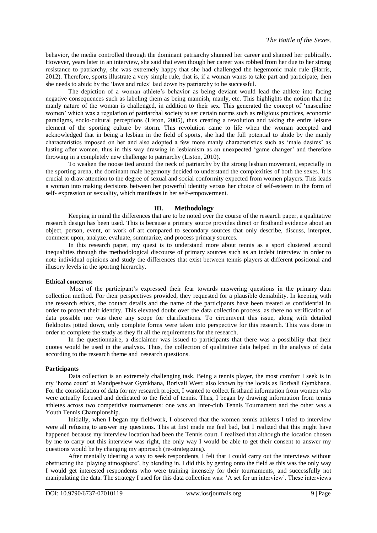behavior, the media controlled through the dominant patriarchy shunned her career and shamed her publically. However, years later in an interview, she said that even though her career was robbed from her due to her strong resistance to patriarchy, she was extremely happy that she had challenged the hegemonic male rule (Harris, 2012). Therefore, sports illustrate a very simple rule, that is, if a woman wants to take part and participate, then she needs to abide by the 'laws and rules' laid down by patriarchy to be successful.

The depiction of a woman athlete's behavior as being deviant would lead the athlete into facing negative consequences such as labeling them as being mannish, manly, etc. This highlights the notion that the manly nature of the woman is challenged, in addition to their sex. This generated the concept of 'masculine women' which was a regulation of patriarchal society to set certain norms such as religious practices, economic paradigms, socio-cultural perceptions (Liston, 2005), thus creating a revolution and taking the entire leisure element of the sporting culture by storm. This revolution came to life when the woman accepted and acknowledged that in being a lesbian in the field of sports, she had the full potential to abide by the manly characteristics imposed on her and also adopted a few more manly characteristics such as 'male desires' as lusting after women, thus in this way drawing in lesbianism as an unexpected ‗game changer' and therefore throwing in a completely new challenge to patriarchy (Liston, 2010).

To weaken the noose tied around the neck of patriarchy by the strong lesbian movement, especially in the sporting arena, the dominant male hegemony decided to understand the complexities of both the sexes. It is crucial to draw attention to the degree of sexual and social conformity expected from women players. This leads a woman into making decisions between her powerful identity versus her choice of self-esteem in the form of self- expression or sexuality, which manifests in her self-empowerment.

### **III. Methodology**

Keeping in mind the differences that are to be noted over the course of the research paper, a qualitative research design has been used. This is because a primary source provides direct or firsthand evidence about an object, person, event, or work of art compared to secondary sources that only describe, discuss, interpret, comment upon, analyze, evaluate, summarize, and process primary sources.

In this research paper, my quest is to understand more about tennis as a sport clustered around inequalities through the methodological discourse of primary sources such as an indebt interview in order to note individual opinions and study the differences that exist between tennis players at different positional and illusory levels in the sporting hierarchy.

#### **Ethical concerns:**

Most of the participant's expressed their fear towards answering questions in the primary data collection method. For their perspectives provided, they requested for a plausible deniability. In keeping with the research ethics, the contact details and the name of the participants have been treated as confidential in order to protect their identity. This elevated doubt over the data collection process, as there no verification of data possible nor was there any scope for clarifications. To circumvent this issue, along with detailed fieldnotes jotted down, only complete forms were taken into perspective for this research. This was done in order to complete the study as they fit all the requirements for the research.

In the questionnaire, a disclaimer was issued to participants that there was a possibility that their quotes would be used in the analysis. Thus, the collection of qualitative data helped in the analysis of data according to the research theme and research questions.

### **Participants**

Data collection is an extremely challenging task. Being a tennis player, the most comfort I seek is in my ‗home court' at Mandpeshwar Gymkhana, Borivali West; also known by the locals as Borivali Gymkhana. For the consolidation of data for my research project, I wanted to collect firsthand information from women who were actually focused and dedicated to the field of tennis. Thus, I began by drawing information from tennis athletes across two competitive tournaments: one was an Inter-club Tennis Tournament and the other was a Youth Tennis Championship.

Initially, when I began my fieldwork, I observed that the women tennis athletes I tried to interview were all refusing to answer my questions. This at first made me feel bad, but I realized that this might have happened because my interview location had been the Tennis court. I realized that although the location chosen by me to carry out this interview was right, the only way I would be able to get their consent to answer my questions would be by changing my approach (re-strategizing).

After mentally ideating a way to seek respondents, I felt that I could carry out the interviews without obstructing the 'playing atmosphere', by blending in. I did this by getting onto the field as this was the only way I would get interested respondents who were training intensely for their tournaments, and successfully not manipulating the data. The strategy I used for this data collection was: 'A set for an interview'. These interviews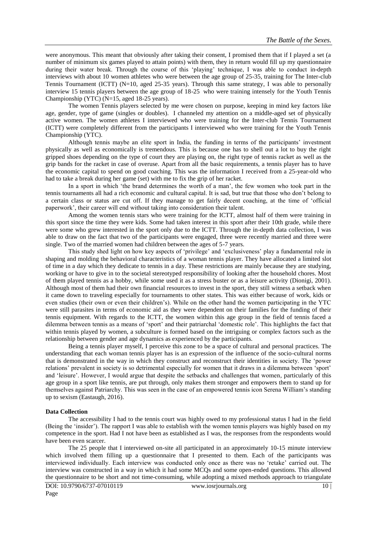were anonymous. This meant that obviously after taking their consent, I promised them that if I played a set (a number of minimum six games played to attain points) with them, they in return would fill up my questionnaire during their water break. Through the course of this 'playing' technique, I was able to conduct in-depth interviews with about 10 women athletes who were between the age group of 25-35, training for The Inter-club Tennis Tournament (ICTT) (N=10, aged 25-35 years). Through this same strategy, I was able to personally interview 15 tennis players between the age group of 18-25 who were training intensely for the Youth Tennis Championship (YTC) (N=15, aged 18-25 years).

The women Tennis players selected by me were chosen on purpose, keeping in mind key factors like age, gender, type of game (singles or doubles). I channeled my attention on a middle-aged set of physically active women. The women athletes I interviewed who were training for the Inter-club Tennis Tournament (ICTT) were completely different from the participants I interviewed who were training for the Youth Tennis Championship (YTC).

Although tennis maybe an elite sport in India, the funding in terms of the participants' investment physically as well as economically is tremendous. This is because one has to shell out a lot to buy the right gripped shoes depending on the type of court they are playing on, the right type of tennis racket as well as the grip bands for the racket in case of overuse. Apart from all the basic requirements, a tennis player has to have the economic capital to spend on good coaching. This was the information I received from a 25-year-old who had to take a break during her game (set) with me to fix the grip of her racket.

In a sport in which 'the brand determines the worth of a man', the few women who took part in the tennis tournaments all had a rich economic and cultural capital. It is sad, but true that those who don't belong to a certain class or status are cut off. If they manage to get fairly decent coaching, at the time of 'official paperwork', their career will end without taking into consideration their talent.

Among the women tennis stars who were training for the ICTT, almost half of them were training in this sport since the time they were kids. Some had taken interest in this sport after their 10th grade, while there were some who grew interested in the sport only due to the ICTT. Through the in-depth data collection, I was able to draw on the fact that two of the participants were engaged, three were recently married and three were single. Two of the married women had children between the ages of 5-7 years.

This study shed light on how key aspects of 'privilege' and 'exclusiveness' play a fundamental role in shaping and molding the behavioral characteristics of a woman tennis player. They have allocated a limited slot of time in a day which they dedicate to tennis in a day. These restrictions are mainly because they are studying, working or have to give in to the societal stereotyped responsibility of looking after the household chores. Most of them played tennis as a hobby, while some used it as a stress buster or as a leisure activity (Dionigi, 2001). Although most of them had their own financial resources to invest in the sport, they still witness a setback when it came down to traveling especially for tournaments to other states. This was either because of work, kids or even studies (their own or even their children's). While on the other hand the women participating in the YTC were still parasites in terms of economic aid as they were dependent on their families for the funding of their tennis equipment. With regards to the ICTT, the women within this age group in the field of tennis faced a dilemma between tennis as a means of 'sport' and their patriarchal 'domestic role'. This highlights the fact that within tennis played by women, a subculture is formed based on the intriguing or complex factors such as the relationship between gender and age dynamics as experienced by the participants.

Being a tennis player myself, I perceive this zone to be a space of cultural and personal practices. The understanding that each woman tennis player has is an expression of the influence of the socio-cultural norms that is demonstrated in the way in which they construct and reconstruct their identities in society. The 'power relations' prevalent in society is so detrimental especially for women that it draws in a dilemma between 'sport' and 'leisure'. However, I would argue that despite the setbacks and challenges that women, particularly of this age group in a sport like tennis, are put through, only makes them stronger and empowers them to stand up for themselves against Patriarchy. This was seen in the case of an empowered tennis icon Serena William's standing up to sexism (Eastaugh, 2016).

#### **Data Collection**

The accessibility I had to the tennis court was highly owed to my professional status I had in the field (Being the ‗insider'). The rapport I was able to establish with the women tennis players was highly based on my competence in the sport. Had I not have been as established as I was, the responses from the respondents would have been even scarcer.

The 25 people that I interviewed on-site all participated in an approximately 10-15 minute interview which involved them filling up a questionnaire that I presented to them. Each of the participants was interviewed individually. Each interview was conducted only once as there was no 'retake' carried out. The interview was constructed in a way in which it had some MCQs and some open-ended questions. This allowed the questionnaire to be short and not time-consuming, while adopting a mixed methods approach to triangulate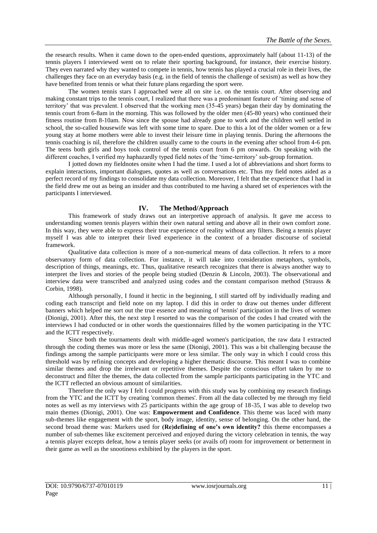the research results. When it came down to the open-ended questions, approximately half (about 11-13) of the tennis players I interviewed went on to relate their sporting background, for instance, their exercise history. They even narrated why they wanted to compete in tennis, how tennis has played a crucial role in their lives, the challenges they face on an everyday basis (e.g. in the field of tennis the challenge of sexism) as well as how they have benefited from tennis or what their future plans regarding the sport were.

The women tennis stars I approached were all on site i.e. on the tennis court. After observing and making constant trips to the tennis court, I realized that there was a predominant feature of 'timing and sense of territory' that was prevalent. I observed that the working men (35-45 years) began their day by dominating the tennis court from 6-8am in the morning. This was followed by the older men (45-80 years) who continued their fitness routine from 8-10am. Now since the spouse had already gone to work and the children well settled in school, the so-called housewife was left with some time to spare. Due to this a lot of the older women or a few young stay at home mothers were able to invest their leisure time in playing tennis. During the afternoons the tennis coaching is nil, therefore the children usually came to the courts in the evening after school from 4-6 pm. The teens both girls and boys took control of the tennis court from 6 pm onwards. On speaking with the different coaches, I verified my haphazardly typed field notes of the 'time-territory' sub-group formation.

I jotted down my fieldnotes onsite when I had the time. I used a lot of abbreviations and short forms to explain interactions, important dialogues, quotes as well as conversations etc. Thus my field notes aided as a perfect record of my findings to consolidate my data collection. Moreover, I felt that the experience that I had in the field drew me out as being an insider and thus contributed to me having a shared set of experiences with the participants I interviewed.

### **IV. The Method/Approach**

This framework of study draws out an interpretive approach of analysis. It gave me access to understanding women tennis players within their own natural setting and above all in their own comfort zone. In this way, they were able to express their true experience of reality without any filters. Being a tennis player myself I was able to interpret their lived experience in the context of a broader discourse of societal framework.

Qualitative data collection is more of a non-numerical means of data collection. It refers to a more observatory form of data collection. For instance, it will take into consideration metaphors, symbols, description of things, meanings, etc. Thus, qualitative research recognizes that there is always another way to interpret the lives and stories of the people being studied (Denzin & Lincoln, 2003). The observational and interview data were transcribed and analyzed using codes and the constant comparison method (Strauss & Corbin, 1998).

Although personally, I found it hectic in the beginning, I still started off by individually reading and coding each transcript and field note on my laptop. I did this in order to draw out themes under different banners which helped me sort out the true essence and meaning of 'tennis' participation in the lives of women (Dionigi, 2001). After this, the next step I resorted to was the comparison of the codes I had created with the interviews I had conducted or in other words the questionnaires filled by the women participating in the YTC and the ICTT respectively.

Since both the tournaments dealt with middle-aged women's participation, the raw data I extracted through the coding themes was more or less the same (Dionigi, 2001). This was a bit challenging because the findings among the sample participants were more or less similar. The only way in which I could cross this threshold was by refining concepts and developing a higher thematic discourse. This meant I was to combine similar themes and drop the irrelevant or repetitive themes. Despite the conscious effort taken by me to deconstruct and filter the themes, the data collected from the sample participants participating in the YTC and the ICTT reflected an obvious amount of similarities.

Therefore the only way I felt I could progress with this study was by combining my research findings from the YTC and the ICTT by creating 'common themes'. From all the data collected by me through my field notes as well as my interviews with 25 participants within the age group of 18-35, I was able to develop two main themes (Dionigi, 2001). One was: **Empowerment and Confidence**. This theme was laced with many sub-themes like engagement with the sport, body image, identity, sense of belonging. On the other hand, the second broad theme was: Markers used for **(Re)defining of one's own identity?** this theme encompasses a number of sub-themes like excitement perceived and enjoyed during the victory celebration in tennis, the way a tennis player excepts defeat, how a tennis player seeks (or avails of) room for improvement or betterment in their game as well as the snootiness exhibited by the players in the sport.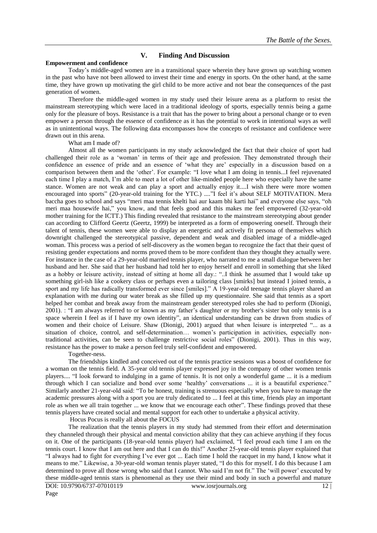### **V. Finding And Discussion**

### **Empowerment and confidence**

Today's middle-aged women are in a transitional space wherein they have grown up watching women in the past who have not been allowed to invest their time and energy in sports. On the other hand, at the same time, they have grown up motivating the girl child to be more active and not bear the consequences of the past generation of women.

Therefore the middle-aged women in my study used their leisure arena as a platform to resist the mainstream stereotyping which were laced in a traditional ideology of sports, especially tennis being a game only for the pleasure of boys. Resistance is a trait that has the power to bring about a personal change or to even empower a person through the essence of confidence as it has the potential to work in intentional ways as well as in unintentional ways. The following data encompasses how the concepts of resistance and confidence were drawn out in this arena.

#### What am I made of?

Almost all the women participants in my study acknowledged the fact that their choice of sport had challenged their role as a 'woman' in terms of their age and profession. They demonstrated through their confidence an essence of pride and an essence of 'what they are' especially in a discussion based on a comparison between them and the 'other'. For example: "I love what I am doing in tennis...I feel rejuvenated each time I play a match, I'm able to meet a lot of other like-minded people here who especially have the same stance. Women are not weak and can play a sport and actually enjoy it....I wish there were more women encouraged into sports" (20-year-old training for the YTC.) ...."I feel it's about SELF MOTIVATION. Mera baccha goes to school and says "meri maa tennis khelti hai aur kaam bhi karti hai" and everyone else says, "oh meri maa housewife hai," you know, and that feels good and this makes me feel empowered (32-year-old mother training for the ICTT.) This finding revealed that resistance to the mainstream stereotyping about gender can according to Clifford Geertz (Geertz, 1999) be interpreted as a form of empowering oneself. Through their talent of tennis, these women were able to display an energetic and actively fit persona of themselves which downright challenged the stereotypical passive, dependent and weak and disabled image of a middle-aged woman. This process was a period of self-discovery as the women began to recognize the fact that their quest of resisting gender expectations and norms proved them to be more confident than they thought they actually were. For instance in the case of a 29-year-old married tennis player, who narrated to me a small dialogue between her husband and her. She said that her husband had told her to enjoy herself and enroll in something that she liked as a hobby or leisure activity, instead of sitting at home all day.: "...I think he assumed that I would take up something girl-ish like a cookery class or perhaps even a tailoring class [smirks] but instead I joined tennis, a sport and my life has radically transformed ever since [smiles]." A 19-year-old teenage tennis player shared an explanation with me during our water break as she filled up my questionnaire. She said that tennis as a sport helped her combat and break away from the mainstream gender stereotyped roles she had to perform (Dionigi, 2001). : "I am always referred to or known as my father's daughter or my brother's sister but only tennis is a space wherein I feel as if I have my own identity", an identical understanding can be drawn from studies of women and their choice of Leisure. Shaw (Dionigi, 2001) argued that when leisure is interpreted "... as a situation of choice, control, and self-determination… women's participation in activities, especially nontraditional activities, can be seen to challenge restrictive social roles‖ (Dionigi, 2001). Thus in this way, resistance has the power to make a person feel truly self-confident and empowered.

Together-ness.

The friendships kindled and conceived out of the tennis practice sessions was a boost of confidence for a woman on the tennis field. A 35-year old tennis player expressed joy in the company of other women tennis players.... "I look forward to indulging in a game of tennis. It is not only a wonderful game ... it is a medium through which I can socialize and bond over some 'healthy' conversations ... it is a beautiful experience." Similarly another 21-year-old said: "To be honest, training is strenuous especially when you have to manage the academic pressures along with a sport you are truly dedicated to ... I feel at this time, friends play an important role as when we all train together ... we know that we encourage each other". These findings proved that these tennis players have created social and mental support for each other to undertake a physical activity.

Hocus Pocus is really all about the FOCUS

The realization that the tennis players in my study had stemmed from their effort and determination they channeled through their physical and mental conviction ability that they can achieve anything if they focus on it. One of the participants (18-year-old tennis player) had exclaimed, "I feel proud each time I am on the tennis court. I know that I am out here and that I can do this!" Another 25-year-old tennis player explained that "I always had to fight for everything I've ever got ... Each time I hold the racquet in my hand, I know what it means to me." Likewise, a 30-year-old woman tennis player stated, "I do this for myself. I do this because I am determined to prove all those wrong who said that I cannot. Who said I'm not fit." The 'will power' executed by these middle-aged tennis stars is phenomenal as they use their mind and body in such a powerful and mature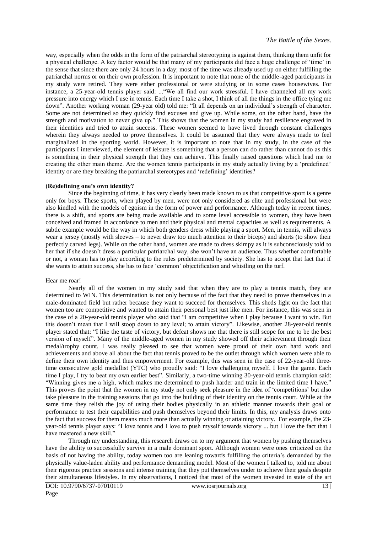way, especially when the odds in the form of the patriarchal stereotyping is against them, thinking them unfit for a physical challenge. A key factor would be that many of my participants did face a huge challenge of 'time' in the sense that since there are only 24 hours in a day; most of the time was already used up on either fulfilling the patriarchal norms or on their own profession. It is important to note that none of the middle-aged participants in my study were retired. They were either professional or were studying or in some cases housewives. For instance, a 25-year-old tennis player said: ... "We all find our work stressful. I have channeled all my work pressure into energy which I use in tennis. Each time I take a shot, I think of all the things in the office tying me down". Another working woman (29-year old) told me: "It all depends on an individual's strength of character. Some are not determined so they quickly find excuses and give up. While some, on the other hand, have the strength and motivation to never give up." This shows that the women in my study had resilience engraved in their identities and tried to attain success. These women seemed to have lived through constant challenges wherein they always needed to prove themselves. It could be assumed that they were always made to feel marginalized in the sporting world. However, it is important to note that in my study, in the case of the participants I interviewed, the element of leisure is something that a person can do rather than cannot do as this is something in their physical strength that they can achieve. This finally raised questions which lead me to creating the other main theme. Are the women tennis participants in my study actually living by a 'predefined' identity or are they breaking the patriarchal stereotypes and 'redefining' identities?

#### **(Re)defining one's own identity?**

Since the beginning of time, it has very clearly been made known to us that competitive sport is a genre only for boys. These sports, when played by men, were not only considered as elite and professional but were also kindled with the models of egoism in the form of power and performance. Although today in recent times, there is a shift, and sports are being made available and to some level accessible to women, they have been conceived and framed in accordance to men and their physical and mental capacities as well as requirements. A subtle example would be the way in which both genders dress while playing a sport. Men, in tennis, will always wear a jersey (mostly with sleeves – to never draw too much attention to their biceps) and shorts (to show their perfectly carved legs). While on the other hand, women are made to dress skimpy as it is subconsciously told to her that if she doesn't dress a particular patriarchal way, she won't have an audience. Thus whether comfortable or not, a woman has to play according to the rules predetermined by society. She has to accept that fact that if she wants to attain success, she has to face ‗common' objectification and whistling on the turf.

#### Hear me roar!

Nearly all of the women in my study said that when they are to play a tennis match, they are determined to WIN. This determination is not only because of the fact that they need to prove themselves in a male-dominated field but rather because they want to succeed for themselves. This sheds light on the fact that women too are competitive and wanted to attain their personal best just like men. For instance, this was seen in the case of a 20-year-old tennis player who said that "I am competitive when I play because I want to win. But this doesn't mean that I will stoop down to any level; to attain victory". Likewise, another 28-year-old tennis player stated that: "I like the taste of victory, but defeat shows me that there is still scope for me to be the best version of myself". Many of the middle-aged women in my study showed off their achievement through their medal/trophy count. I was really pleased to see that women were proud of their own hard work and achievements and above all about the fact that tennis proved to be the outlet through which women were able to define their own identity and thus empowerment. For example, this was seen in the case of 22-year-old threetime consecutive gold medallist (YTC) who proudly said: "I love challenging myself. I love the game. Each time I play, I try to beat my own earlier best". Similarly, a two-time winning 30-year-old tennis champion said: "Winning gives me a high, which makes me determined to push harder and train in the limited time I have." This proves the point that the women in my study not only seek pleasure in the idea of 'competitions' but also take pleasure in the training sessions that go into the building of their identity on the tennis court. While at the same time they relish the joy of using their bodies physically in an athletic manner towards their goal or performance to test their capabilities and push themselves beyond their limits. In this, my analysis draws onto the fact that success for them means much more than actually winning or attaining victory. For example, the 23 year-old tennis player says: "I love tennis and I love to push myself towards victory ... but I love the fact that I have mastered a new skill."

Through my understanding, this research draws on to my argument that women by pushing themselves have the ability to successfully survive in a male dominant sport. Although women were ones criticized on the basis of not having the ability, today women too are leaning towards fulfilling the criteria's demanded by the physically value-laden ability and performance demanding model. Most of the women I talked to, told me about their rigorous practice sessions and intense training that they put themselves under to achieve their goals despite their simultaneous lifestyles. In my observations, I noticed that most of the women invested in state of the art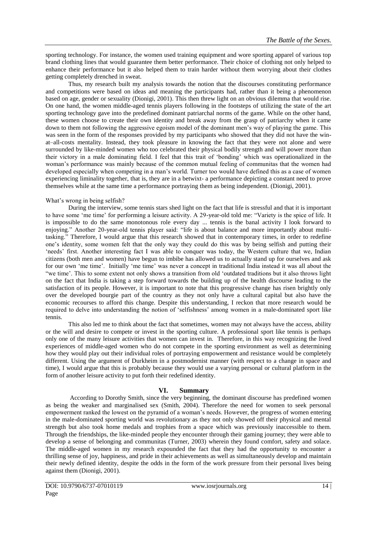sporting technology. For instance, the women used training equipment and wore sporting apparel of various top brand clothing lines that would guarantee them better performance. Their choice of clothing not only helped to enhance their performance but it also helped them to train harder without them worrying about their clothes getting completely drenched in sweat.

Thus, my research built my analysis towards the notion that the discourses constituting performance and competitions were based on ideas and meaning the participants had, rather than it being a phenomenon based on age, gender or sexuality (Dionigi, 2001). This then threw light on an obvious dilemma that would rise. On one hand, the women middle-aged tennis players following in the footsteps of utilizing the state of the art sporting technology gave into the predefined dominant patriarchal norms of the game. While on the other hand, these women choose to create their own identity and break away from the grasp of patriarchy when it came down to them not following the aggressive egoism model of the dominant men's way of playing the game. This was seen in the form of the responses provided by my participants who showed that they did not have the winat–all-costs mentality. Instead, they took pleasure in knowing the fact that they were not alone and were surrounded by like-minded women who too celebrated their physical bodily strength and will power more than their victory in a male dominating field. I feel that this trait of ‗bonding' which was operationalized in the woman's performance was mainly because of the common mutual feeling of communitas that the women had developed especially when competing in a man's world. Turner too would have defined this as a case of women experiencing liminality together, that is, they are in a betwixt- a performance depicting a constant need to prove themselves while at the same time a performance portraying them as being independent. (Dionigi, 2001).

### What's wrong in being selfish?

During the interview, some tennis stars shed light on the fact that life is stressful and that it is important to have some 'me time' for performing a leisure activity. A 29-year-old told me: "Variety is the spice of life. It is impossible to do the same monotonous role every day ... tennis is the banal activity I look forward to enjoying." Another 20-year-old tennis player said: "life is about balance and more importantly about multitasking." Therefore, I would argue that this research showed that in contemporary times, in order to redefine one's identity, some women felt that the only way they could do this was by being selfish and putting their ‗needs' first. Another interesting fact I was able to conquer was today, the Western culture that we, Indian citizens (both men and women) have begun to imbibe has allowed us to actually stand up for ourselves and ask for our own 'me time'. Initially 'me time' was never a concept in traditional India instead it was all about the ―we time'. This to some extent not only shows a transition from old ‗outdated traditions but it also throws light on the fact that India is taking a step forward towards the building up of the health discourse leading to the satisfaction of its people. However, it is important to note that this progressive change has risen brightly only over the developed bourgie part of the country as they not only have a cultural capital but also have the economic recourses to afford this change. Despite this understanding, I reckon that more research would be required to delve into understanding the notion of ‗selfishness' among women in a male-dominated sport like tennis.

This also led me to think about the fact that sometimes, women may not always have the access, ability or the will and desire to compete or invest in the sporting culture. A professional sport like tennis is perhaps only one of the many leisure activities that women can invest in. Therefore, in this way recognizing the lived experiences of middle-aged women who do not compete in the sporting environment as well as determining how they would play out their individual roles of portraying empowerment and resistance would be completely different. Using the argument of Durkheim in a postmodernist manner (with respect to a change in space and time), I would argue that this is probably because they would use a varying personal or cultural platform in the form of another leisure activity to put forth their redefined identity.

### **VI. Summary**

According to Dorothy Smith, since the very beginning, the dominant discourse has predefined women as being the weaker and marginalised sex (Smith, 2004). Therefore the need for women to seek personal empowerment ranked the lowest on the pyramid of a woman's needs. However, the progress of women entering in the male-dominated sporting world was revolutionary as they not only showed off their physical and mental strength but also took home medals and trophies from a space which was previously inaccessible to them. Through the friendships, the like-minded people they encounter through their gaming journey; they were able to develop a sense of belonging and communitas (Turner, 2003) wherein they found comfort, safety and solace. The middle-aged women in my research expounded the fact that they had the opportunity to encounter a thrilling sense of joy, happiness, and pride in their achievements as well as simultaneously develop and maintain their newly defined identity, despite the odds in the form of the work pressure from their personal lives being against them (Dionigi, 2001).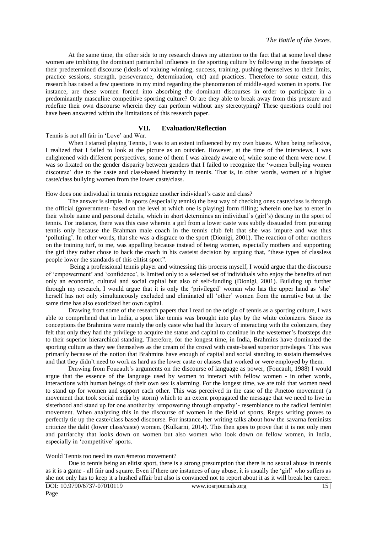At the same time, the other side to my research draws my attention to the fact that at some level these women are imbibing the dominant patriarchal influence in the sporting culture by following in the footsteps of their predetermined discourse (ideals of valuing winning, success, training, pushing themselves to their limits, practice sessions, strength, perseverance, determination, etc) and practices. Therefore to some extent, this research has raised a few questions in my mind regarding the phenomenon of middle-aged women in sports. For instance, are these women forced into absorbing the dominant discourses in order to participate in a predominantly masculine competitive sporting culture? Or are they able to break away from this pressure and redefine their own discourse wherein they can perform without any stereotyping? These questions could not have been answered within the limitations of this research paper.

### **VII. Evaluation/Reflection**

Tennis is not all fair in 'Love' and War.

When I started playing Tennis, I was to an extent influenced by my own biases. When being reflexive, I realized that I failed to look at the picture as an outsider. However, at the time of the interviews, I was enlightened with different perspectives; some of them I was already aware of, while some of them were new. I was so fixated on the gender disparity between genders that I failed to recognize the 'women bullying women discourse' due to the caste and class-based hierarchy in tennis. That is, in other words, women of a higher caste/class bullying women from the lower caste/class.

How does one individual in tennis recognize another individual's caste and class?

The answer is simple. In sports (especially tennis) the best way of checking ones caste/class is through the official (government- based on the level at which one is playing) form filling; wherein one has to enter in their whole name and personal details, which in short determines an individual's (girl's) destiny in the sport of tennis. For instance, there was this case wherein a girl from a lower caste was subtly dissuaded from pursuing tennis only because the Brahman male coach in the tennis club felt that she was impure and was thus ‗polluting'. In other words, that she was a disgrace to the sport (Dionigi, 2001). The reaction of other mothers on the training turf, to me, was appalling because instead of being women, especially mothers and supporting the girl they rather chose to back the coach in his casteist decision by arguing that, "these types of classless people lower the standards of this elitist sport".

Being a professional tennis player and witnessing this process myself, I would argue that the discourse of ‗empowerment' and ‗confidence', is limited only to a selected set of individuals who enjoy the benefits of not only an economic, cultural and social capital but also of self-funding (Dionigi, 2001). Building up further through my research, I would argue that it is only the 'privileged' woman who has the upper hand as 'she' herself has not only simultaneously excluded and eliminated all 'other' women from the narrative but at the same time has also exoticized her own capital.

Drawing from some of the research papers that I read on the origin of tennis as a sporting culture, I was able to comprehend that in India, a sport like tennis was brought into play by the white colonizers. Since its conceptions the Brahmins were mainly the only caste who had the luxury of interacting with the colonizers, they felt that only they had the privilege to acquire the status and capital to continue in the westerner's footsteps due to their superior hierarchical standing. Therefore, for the longest time, in India, Brahmins have dominated the sporting culture as they see themselves as the cream of the crowd with caste-based superior privileges. This was primarily because of the notion that Brahmins have enough of capital and social standing to sustain themselves and that they didn't need to work as hard as the lower caste or classes that worked or were employed by them.

Drawing from Foucault's arguments on the discourse of language as power, (Foucault, 1988) I would argue that the essence of the language used by women to interact with fellow women - in other words, interactions with human beings of their own sex is alarming. For the longest time, we are told that women need to stand up for women and support each other. This was perceived in the case of the #metoo movement (a movement that took social media by storm) which to an extent propagated the message that we need to live in sisterhood and stand up for one another by 'empowering through empathy'- resemblance to the radical feminist movement. When analyzing this in the discourse of women in the field of sports, Reges writing proves to perfectly tie up the caste/class based discourse. For instance, her writing talks about how the savarna feminists criticize the dalit (lower class/caste) women. (Kulkarni, 2014). This then goes to prove that it is not only men and patriarchy that looks down on women but also women who look down on fellow women, in India, especially in 'competitive' sports.

Would Tennis too need its own #metoo movement?

Due to tennis being an elitist sport, there is a strong presumption that there is no sexual abuse in tennis as it is a game - all fair and square. Even if there are instances of any abuse, it is usually the 'girl' who suffers as she not only has to keep it a hushed affair but also is convinced not to report about it as it will break her career.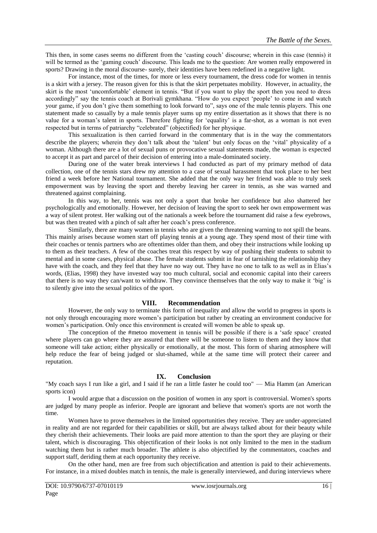This then, in some cases seems no different from the 'casting couch' discourse; wherein in this case (tennis) it will be termed as the 'gaming couch' discourse. This leads me to the question: Are women really empowered in sports? Drawing in the moral discourse- surely, their identities have been redefined in a negative light.

For instance, most of the times, for more or less every tournament, the dress code for women in tennis is a skirt with a jersey. The reason given for this is that the skirt perpetuates mobility. However, in actuality, the skirt is the most 'uncomfortable' element in tennis. "But if you want to play the sport then you need to dress accordingly" say the tennis coach at Borivali gymkhana. "How do you expect 'people' to come in and watch your game, if you don't give them something to look forward to", says one of the male tennis players. This one statement made so casually by a male tennis player sums up my entire dissertation as it shows that there is no value for a woman's talent in sports. Therefore fighting for 'equality' is a far-shot, as a woman is not even respected but in terms of patriarchy "celebrated" (objectified) for her physique.

This sexualization is then carried forward in the commentary that is in the way the commentators describe the players; wherein they don't talk about the 'talent' but only focus on the 'vital' physicality of a woman. Although there are a lot of sexual puns or provocative sexual statements made, the woman is expected to accept it as part and parcel of their decision of entering into a male-dominated society.

During one of the water break interviews I had conducted as part of my primary method of data collection, one of the tennis stars drew my attention to a case of sexual harassment that took place to her best friend a week before her National tournament. She added that the only way her friend was able to truly seek empowerment was by leaving the sport and thereby leaving her career in tennis, as she was warned and threatened against complaining.

In this way, to her, tennis was not only a sport that broke her confidence but also shattered her psychologically and emotionally. However, her decision of leaving the sport to seek her own empowerment was a way of silent protest. Her walking out of the nationals a week before the tournament did raise a few eyebrows, but was then treated with a pinch of salt after her coach's press conference.

Similarly, there are many women in tennis who are given the threatening warning to not spill the beans. This mainly arises because women start off playing tennis at a young age. They spend most of their time with their coaches or tennis partners who are oftentimes older than them, and obey their instructions while looking up to them as their teachers. A few of the coaches treat this respect by way of pushing their students to submit to mental and in some cases, physical abuse. The female students submit in fear of tarnishing the relationship they have with the coach, and they feel that they have no way out. They have no one to talk to as well as in Elias's words, (Elias, 1998) they have invested way too much cultural, social and economic capital into their careers that there is no way they can/want to withdraw. They convince themselves that the only way to make it 'big' is to silently give into the sexual politics of the sport.

### **VIII. Recommendation**

However, the only way to terminate this form of inequality and allow the world to progress in sports is not only through encouraging more women's participation but rather by creating an environment conducive for women's participation. Only once this environment is created will women be able to speak up.

The conception of the #metoo movement in tennis will be possible if there is a 'safe space' created where players can go where they are assured that there will be someone to listen to them and they know that someone will take action; either physically or emotionally, at the most. This form of sharing atmosphere will help reduce the fear of being judged or slut-shamed, while at the same time will protect their career and reputation.

# **IX. Conclusion**

"My coach says I run like a girl, and I said if he ran a little faster he could too" — Mia Hamm (an American sports icon)

I would argue that a discussion on the position of women in any sport is controversial. Women's sports are judged by many people as inferior. People are ignorant and believe that women's sports are not worth the time.

Women have to prove themselves in the limited opportunities they receive. They are under-appreciated in reality and are not regarded for their capabilities or skill, but are always talked about for their beauty while they cherish their achievements. Their looks are paid more attention to than the sport they are playing or their talent, which is discouraging. This objectification of their looks is not only limited to the men in the stadium watching them but is rather much broader. The athlete is also objectified by the commentators, coaches and support staff, deriding them at each opportunity they receive.

On the other hand, men are free from such objectification and attention is paid to their achievements. For instance, in a mixed doubles match in tennis, the male is generally interviewed, and during interviews where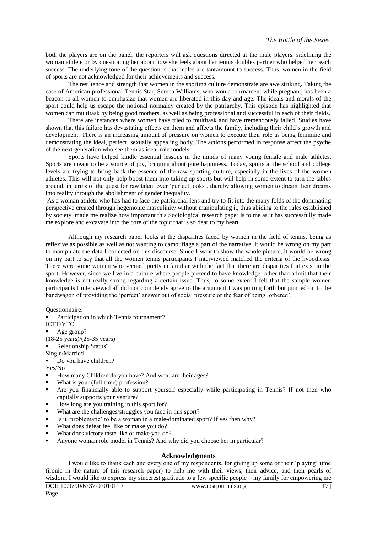both the players are on the panel, the reporters will ask questions directed at the male players, sidelining the woman athlete or by questioning her about how she feels about her tennis doubles partner who helped her reach success. The underlying tone of the question is that males are tantamount to success. Thus, women in the field of sports are not acknowledged for their achievements and success.

The resilience and strength that women in the sporting culture demonstrate are awe striking. Taking the case of American professional Tennis Star, Serena Williams, who won a tournament while pregnant, has been a beacon to all women to emphasize that women are liberated in this day and age. The ideals and morals of the sport could help us escape the notional normalcy created by the patriarchy. This episode has highlighted that women can multitask by being good mothers, as well as being professional and successful in each of their fields.

There are instances where women have tried to multitask and have tremendously failed. Studies have shown that this failure has devastating effects on them and affects the family, including their child's growth and development. There is an increasing amount of pressure on women to execute their role as being feminine and demonstrating the ideal, perfect, sexually appealing body. The actions performed in response affect the psyche of the next generation who see them as ideal role models.

Sports have helped kindle essential lessons in the minds of many young female and male athletes. Sports are meant to be a source of joy, bringing about pure happiness. Today, sports at the school and college levels are trying to bring back the essence of the raw sporting culture, especially in the lives of the women athletes. This will not only help boost them into taking up sports but will help in some extent to turn the tables around, in terms of the quest for raw talent over 'perfect looks', thereby allowing women to dream their dreams into reality through the abolishment of gender inequality.

As a woman athlete who has had to face the patriarchal lens and try to fit into the many folds of the dominating perspective created through hegemonic masculinity without manipulating it, thus abiding to the rules established by society, made me realize how important this Sociological research paper is to me as it has successfully made me explore and excavate into the core of the topic that is so dear to my heart.

Although my research paper looks at the disparities faced by women in the field of tennis, being as reflexive as possible as well as not wanting to camouflage a part of the narrative, it would be wrong on my part to manipulate the data I collected on this discourse. Since I want to show the whole picture, it would be wrong on my part to say that all the women tennis participants I interviewed matched the criteria of the hypothesis. There were some women who seemed pretty unfamiliar with the fact that there are disparities that exist in the sport. However, since we live in a culture where people pretend to have knowledge rather than admit that their knowledge is not really strong regarding a certain issue. Thus, to some extent I felt that the sample women participants I interviewed all did not completely agree to the argument I was putting forth but jumped on to the bandwagon of providing the 'perfect' answer out of social pressure or the fear of being 'othered'.

#### Questionnaire:

Participation in which Tennis tournament?

ICTT/YTC

- Age group?
- (18-25 years)/(25-35 years)
- Relationship Status?
- Single/Married
- Do you have children?
- Yes/No
- How many Children do you have? And what are their ages?
- What is your (full-time) profession?
- Are you financially able to support yourself especially while participating in Tennis? If not then who capitally supports your venture?
- How long are you training in this sport for?
- What are the challenges/struggles you face in this sport?
- Is it 'problematic' to be a woman in a male-dominated sport? If yes then why?
- What does defeat feel like or make you do?
- What does victory taste like or make you do?
- Anyone woman role model in Tennis? And why did you choose her in particular?

#### **Acknowledgments**

I would like to thank each and every one of my respondents, for giving up some of their 'playing' time (ironic in the nature of this research paper) to help me with their views, their advice, and their pearls of wisdom. I would like to express my sincerest gratitude to a few specific people – my family for empowering me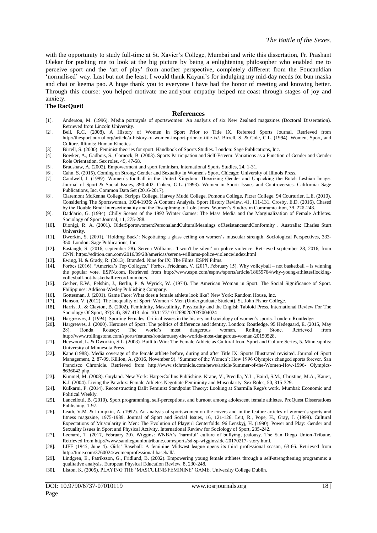with the opportunity to study full-time at St. Xavier's College, Mumbai and write this dissertation, Fr. Prashant Olekar for pushing me to look at the big picture by being a enlightening philosopher who enabled me to perceive sport and the 'art of play' from another perspective, completely different from the Foucauldian ‗normalised' way. Last but not the least; I would thank Kayani's for indulging my mid-day needs for bun maska and chai or keema pao. A huge thank you to everyone I have had the honor of meeting and knowing better. Through this course: you helped motivate me and your empathy helped me coast through stages of joy and anxiety.

#### **The RacQuet!**

#### **References**

- [1]. Anderson, M. (1996). Media portrayals of sportswomen: An analysis of six New Zealand magazines (Doctoral Dissertation). Retrieved from Lincoln University.
- [2]. Bell, R.C. (2008). A History of Women in Sport Prior to Title IX. Refereed Sports Journal. Retrieved from http://thesportjournal.org/article/a-history-of-women-insport-prior-to-title-ix/. Birrell, S. & Cole, C.L. (1994). Women, Sport, and Culture. Illinois: Human Kinetics.
- [3]. Birrell, S. (2000). Feminist theories for sport. Handbook of Sports Studies. London: Sage Publications, Inc.
- [4]. Bowker, A., Gadbois, S., Cornock, B. (2003). Sports Participation and Self-Esteem: Variations as a Function of Gender and Gender Role Orientation. Sex roles, 49, 47-58.
- [5]. Bradshaw, A. (2002). Empowerment and sport feminism. International Sports Studies, 24, 1-31.
- [6]. Cahn, S. (2015). Coming on Strong: Gender and Sexuality in Women's Sport. Chicago: University of Illinois Press.
- [7]. Caudwell, J. (1999). Women's football in the United Kingdom: Theorizing Gender and Unpacking the Butch Lesbian Image. Journal of Sport & Social Issues, 390-402. Cohen, G.L. (1993). Women in Sport: Issues and Controversies. California: Sage Publications, Inc. Common Data Set (2016-2017).
- [8]. Claremont McKenna College, Scripps College, Harvey Mudd College, Pomona College, Pitzer College. 94 Courturier, L.E. (2010). Considering The Sportswoman, 1924-1936: A Content Analysis. Sport History Review, 41, 111-131. Crosby, E.D. (2016). Chased by the Double Bind: Intersectionality and the Disciplining of Lolo Jones. Women's Studies in Communication, 39, 228-248.
- [9]. Daddario, G. (1994). Chilly Scenes of the 1992 Winter Games: The Mass Media and the Marginalization of Female Athletes. Sociology of Sport Journal, 11, 275-288.
- [10]. Dionigi, R. A. (2001). OlderSportswomen:PersonalandCulturalMeanings ofResistanceandConformity . Australia: Charles Sturt University.
- [11]. Dworkin, S. (2001). 'Holding Back': Negotiating a glass ceiling on women's muscular strength. Sociological Perspectives, 333-350. London: Sage Publications, Inc.
- [12]. Eastaugh, S. (2016, september 28). Serena Williams: 'I won't be silent' on police violence. Retrieved september 28, 2016, from CNN: https://edition.cnn.com/2016/09/28/americas/serena-williams-police-violence/index.html
- [13]. Ewing, H. & Grady, R. (2013). Branded. Nine for IX: The Films. ESPN Films.
- [14]. Forbes (2016). "America's Top Colleges," Forbes. Friedman, V. (2017, February 15). Why volleyball not basketball is winning the popular vote. ESPN.com. Retrieved from http://www.espn.com/espnw/sports/article/18659764/why-young-athletesflockingvolleyball-not-basketball-record-numbers.
- [15]. Gerber, E.W., Felshin, J., Berlin, P. & Wyrick, W. (1974). The American Woman in Sport. The Social Significance of Sport. Philippines: Addison-Wesley Publishing Company.
- [16]. Gottesman, J. (2001). Game Face: What does a female athlete look like? New York: Random House, Inc.
- [17]. Hanson, V. (2012). The Inequality of Sport: Women < Men (Undergraduate Student). St. John Fisher College.
- [18]. Harris, J., & Clayton, B. (2002). Femininity, Masculinity, Physicality and the English Tabloid Press. International Review For The Sociology Of Sport, 37(3-4), 397-413. doi: 10.1177/1012690202037004024
- [19]. Hargreaves, J. (1994). Sporting Females: Critical issues in the history and sociology of women's sports. London: Routledge.
- [20]. Hargreaves, J. (2000). Heroines of Sport: The politics of difference and identity. London: Routledge. 95 Hedegaard, E. (2015, May 28). Ronda Rousey: The world's most dangerous woman. Rolling Stone. Retrieved from [http://www.rollingstone.com/sports/features/rondarousey-the-worlds-most-dangerous-woman-20150528.](http://www.rollingstone.com/sports/features/rondarousey-the-worlds-most-dangerous-woman-20150528)
- [21]. Heywood, L. & Dworkin, S.L. (2003). Built to Win: The Female Athlete as Cultural Icon. Sport and Culture Series, 5. Minneapolis: University of Minnesota Press.
- [22]. Kane (1988). Media coverage of the female athlete before, during and after Title IX: Sports Illustrated revisited. Journal of Sport Management, 2, 87-99. Killion, A. (2016, November 9). 'Summer of the Women': How 1996 Olympics changed sports forever. San Francisco Chronicle. Retrieved from [http://www.sfchronicle.com/news/article/Summer-of-the-Women-How-1996-](http://www.sfchronicle.com/news/article/Summer-of-the-Women-How-1996-%20Olympics-8636042.php) Olympics-[8636042.php.](http://www.sfchronicle.com/news/article/Summer-of-the-Women-How-1996-%20Olympics-8636042.php)
- [23]. Kimmel, M. (2008). Guyland. New York: HarperCollins Publishing. Krane, V., Precilla, Y.L., Baird, S.M., Christine, M.A., Kauer, K.J. (2004). Living the Paradox: Female Athletes Negotiate Femininity and Muscularity. Sex Roles, 50, 315-329.
- [24]. Kulkarni, P. (2014). Reconstructing Dalit Feminist Standpoint Theory: Looking at Sharmila Rege's work. Mumbai: Economic and Political Weekly.
- [25]. Lancellotti, B. (2010). Sport programming, self-perceptions, and burnout among adolescent female athletes. ProQuest Dissertations Publishing, 1-97.
- [26]. Leath, V.M. & Lumpkin, A. (1992). An analysis of sportswomen on the covers and in the feature articles of women's sports and fitness magazine, 1975-1989. Journal of Sport and Social Issues, 16, 121-126. Leit, R., Pope, H., Gray, J. (1999). Cultural Expectations of Muscularity in Men: The Evolution of Playgirl Centerfolds. 96 Lenskyj, H. (1990). Power and Play: Gender and Sexuality Issues in Sport and Physical Activity. International Review for Sociology of Sport, 235-242.
- [27]. Leonard, T. (2017, February 20). Wiggins: WNBA's ‗harmful' culture of bullying, jealousy. The San Diego Union-Tribune. Retrieved fro[m http://www.sandiegouniontribune.com/sports/sd-sp-wigginsside-20170217-](http://www.sandiegouniontribune.com/sports/sd-sp-wigginsside-20170217-%20story.html) story.html.
- [28]. LIFE (1945, June 4). Girls' Baseball: A feminine Midwest league opens its third professional season, 63-66. Retrieved from [http://time.com/3760024/womenprofessional-baseball/.](http://time.com/3760024/womenprofessional-baseball/)
- [29]. Lindgren, E., Patriksson, G., Fridlund, B. (2002). Empowering young female athletes through a self-strengthening programme: a qualitative analysis. European Physical Education Review, 8, 230-248.
- [30]. Liston, K. (2005). PLAYING THE ‗MASCULINE/FEMININE' GAME. University College Dublin.